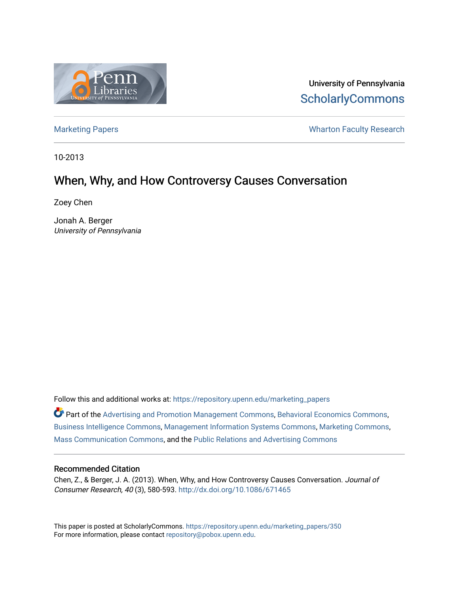

University of Pennsylvania **ScholarlyCommons** 

[Marketing Papers](https://repository.upenn.edu/marketing_papers) **Marketing Papers Marketing Papers Wharton Faculty Research** 

10-2013

# When, Why, and How Controversy Causes Conversation

Zoey Chen

Jonah A. Berger University of Pennsylvania

Follow this and additional works at: [https://repository.upenn.edu/marketing\\_papers](https://repository.upenn.edu/marketing_papers?utm_source=repository.upenn.edu%2Fmarketing_papers%2F350&utm_medium=PDF&utm_campaign=PDFCoverPages)

Part of the [Advertising and Promotion Management Commons,](http://network.bepress.com/hgg/discipline/626?utm_source=repository.upenn.edu%2Fmarketing_papers%2F350&utm_medium=PDF&utm_campaign=PDFCoverPages) [Behavioral Economics Commons,](http://network.bepress.com/hgg/discipline/341?utm_source=repository.upenn.edu%2Fmarketing_papers%2F350&utm_medium=PDF&utm_campaign=PDFCoverPages) [Business Intelligence Commons,](http://network.bepress.com/hgg/discipline/1326?utm_source=repository.upenn.edu%2Fmarketing_papers%2F350&utm_medium=PDF&utm_campaign=PDFCoverPages) [Management Information Systems Commons,](http://network.bepress.com/hgg/discipline/636?utm_source=repository.upenn.edu%2Fmarketing_papers%2F350&utm_medium=PDF&utm_campaign=PDFCoverPages) [Marketing Commons](http://network.bepress.com/hgg/discipline/638?utm_source=repository.upenn.edu%2Fmarketing_papers%2F350&utm_medium=PDF&utm_campaign=PDFCoverPages), [Mass Communication Commons](http://network.bepress.com/hgg/discipline/334?utm_source=repository.upenn.edu%2Fmarketing_papers%2F350&utm_medium=PDF&utm_campaign=PDFCoverPages), and the [Public Relations and Advertising Commons](http://network.bepress.com/hgg/discipline/336?utm_source=repository.upenn.edu%2Fmarketing_papers%2F350&utm_medium=PDF&utm_campaign=PDFCoverPages)

#### Recommended Citation

Chen, Z., & Berger, J. A. (2013). When, Why, and How Controversy Causes Conversation. Journal of Consumer Research, 40 (3), 580-593.<http://dx.doi.org/10.1086/671465>

This paper is posted at ScholarlyCommons. [https://repository.upenn.edu/marketing\\_papers/350](https://repository.upenn.edu/marketing_papers/350)  For more information, please contact [repository@pobox.upenn.edu.](mailto:repository@pobox.upenn.edu)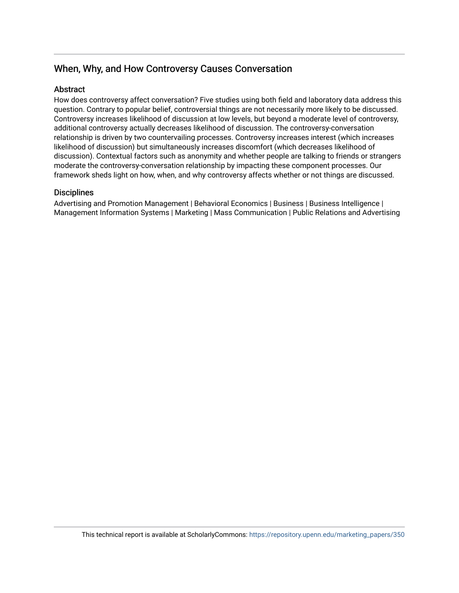## When, Why, and How Controversy Causes Conversation

## **Abstract**

How does controversy affect conversation? Five studies using both field and laboratory data address this question. Contrary to popular belief, controversial things are not necessarily more likely to be discussed. Controversy increases likelihood of discussion at low levels, but beyond a moderate level of controversy, additional controversy actually decreases likelihood of discussion. The controversy-conversation relationship is driven by two countervailing processes. Controversy increases interest (which increases likelihood of discussion) but simultaneously increases discomfort (which decreases likelihood of discussion). Contextual factors such as anonymity and whether people are talking to friends or strangers moderate the controversy-conversation relationship by impacting these component processes. Our framework sheds light on how, when, and why controversy affects whether or not things are discussed.

## **Disciplines**

Advertising and Promotion Management | Behavioral Economics | Business | Business Intelligence | Management Information Systems | Marketing | Mass Communication | Public Relations and Advertising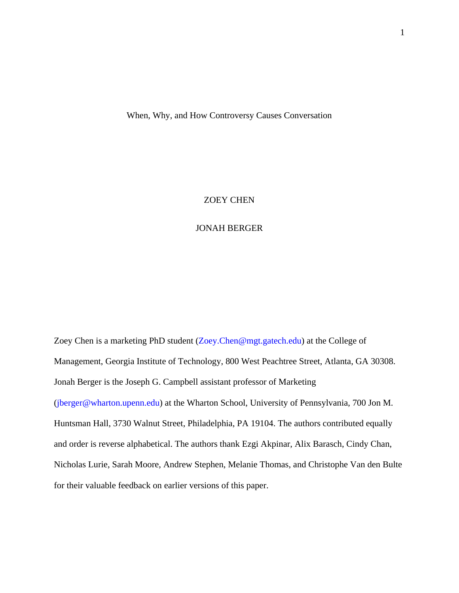## When, Why, and How Controversy Causes Conversation

## ZOEY CHEN

## JONAH BERGER

Zoey Chen is a marketing PhD student (Zoey.Chen@mgt.gatech.edu) at the College of Management, Georgia Institute of Technology, 800 West Peachtree Street, Atlanta, GA 30308. Jonah Berger is the Joseph G. Campbell assistant professor of Marketing (jberger@wharton.upenn.edu) at the Wharton School, University of Pennsylvania, 700 Jon M. Huntsman Hall, 3730 Walnut Street, Philadelphia, PA 19104. The authors contributed equally and order is reverse alphabetical. The authors thank Ezgi Akpinar, Alix Barasch, Cindy Chan, Nicholas Lurie, Sarah Moore, Andrew Stephen, Melanie Thomas, and Christophe Van den Bulte for their valuable feedback on earlier versions of this paper.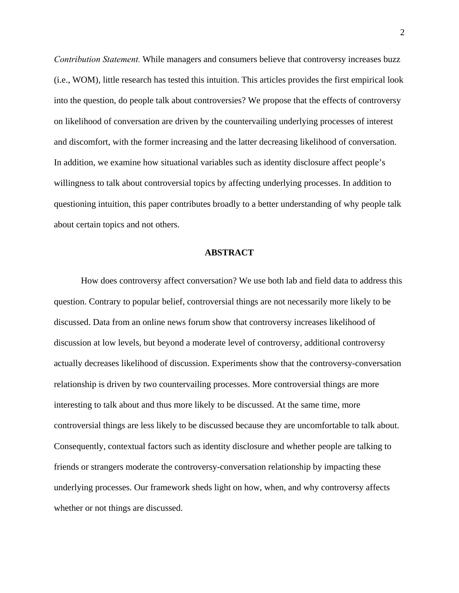*Contribution Statement.* While managers and consumers believe that controversy increases buzz (i.e., WOM), little research has tested this intuition. This articles provides the first empirical look into the question, do people talk about controversies? We propose that the effects of controversy on likelihood of conversation are driven by the countervailing underlying processes of interest and discomfort, with the former increasing and the latter decreasing likelihood of conversation. In addition, we examine how situational variables such as identity disclosure affect people's willingness to talk about controversial topics by affecting underlying processes. In addition to questioning intuition, this paper contributes broadly to a better understanding of why people talk about certain topics and not others.

## **ABSTRACT**

How does controversy affect conversation? We use both lab and field data to address this question. Contrary to popular belief, controversial things are not necessarily more likely to be discussed. Data from an online news forum show that controversy increases likelihood of discussion at low levels, but beyond a moderate level of controversy, additional controversy actually decreases likelihood of discussion. Experiments show that the controversy-conversation relationship is driven by two countervailing processes. More controversial things are more interesting to talk about and thus more likely to be discussed. At the same time, more controversial things are less likely to be discussed because they are uncomfortable to talk about. Consequently, contextual factors such as identity disclosure and whether people are talking to friends or strangers moderate the controversy-conversation relationship by impacting these underlying processes. Our framework sheds light on how, when, and why controversy affects whether or not things are discussed.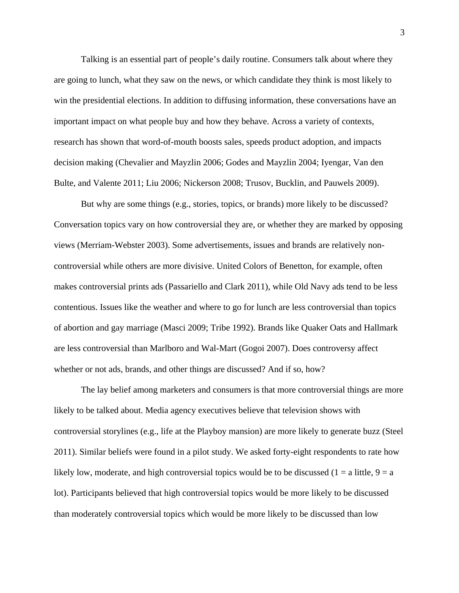Talking is an essential part of people's daily routine. Consumers talk about where they are going to lunch, what they saw on the news, or which candidate they think is most likely to win the presidential elections. In addition to diffusing information, these conversations have an important impact on what people buy and how they behave. Across a variety of contexts, research has shown that word-of-mouth boosts sales, speeds product adoption, and impacts decision making (Chevalier and Mayzlin 2006; Godes and Mayzlin 2004; Iyengar, Van den Bulte, and Valente 2011; Liu 2006; Nickerson 2008; Trusov, Bucklin, and Pauwels 2009).

 But why are some things (e.g., stories, topics, or brands) more likely to be discussed? Conversation topics vary on how controversial they are, or whether they are marked by opposing views (Merriam-Webster 2003). Some advertisements, issues and brands are relatively noncontroversial while others are more divisive. United Colors of Benetton, for example, often makes controversial prints ads (Passariello and Clark 2011), while Old Navy ads tend to be less contentious. Issues like the weather and where to go for lunch are less controversial than topics of abortion and gay marriage (Masci 2009; Tribe 1992). Brands like Quaker Oats and Hallmark are less controversial than Marlboro and Wal-Mart (Gogoi 2007). Does controversy affect whether or not ads, brands, and other things are discussed? And if so, how?

 The lay belief among marketers and consumers is that more controversial things are more likely to be talked about. Media agency executives believe that television shows with controversial storylines (e.g., life at the Playboy mansion) are more likely to generate buzz (Steel 2011). Similar beliefs were found in a pilot study. We asked forty-eight respondents to rate how likely low, moderate, and high controversial topics would be to be discussed  $(1 = a$  little,  $9 = a$ lot). Participants believed that high controversial topics would be more likely to be discussed than moderately controversial topics which would be more likely to be discussed than low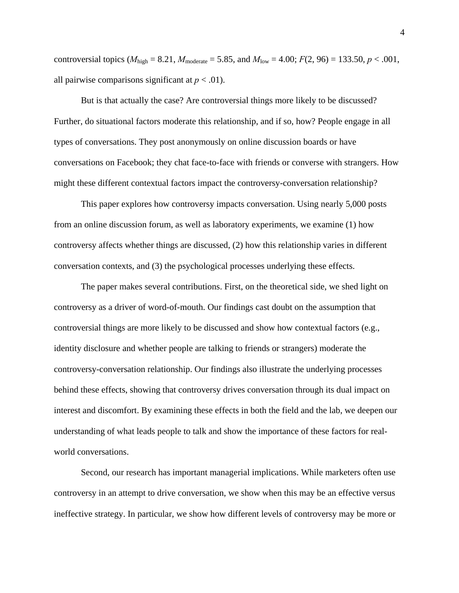controversial topics ( $M_{\text{high}} = 8.21$ ,  $M_{\text{moderate}} = 5.85$ , and  $M_{\text{low}} = 4.00$ ;  $F(2, 96) = 133.50$ ,  $p < .001$ , all pairwise comparisons significant at  $p < .01$ ).

 But is that actually the case? Are controversial things more likely to be discussed? Further, do situational factors moderate this relationship, and if so, how? People engage in all types of conversations. They post anonymously on online discussion boards or have conversations on Facebook; they chat face-to-face with friends or converse with strangers. How might these different contextual factors impact the controversy-conversation relationship?

 This paper explores how controversy impacts conversation. Using nearly 5,000 posts from an online discussion forum, as well as laboratory experiments, we examine (1) how controversy affects whether things are discussed, (2) how this relationship varies in different conversation contexts, and (3) the psychological processes underlying these effects.

 The paper makes several contributions. First, on the theoretical side, we shed light on controversy as a driver of word-of-mouth. Our findings cast doubt on the assumption that controversial things are more likely to be discussed and show how contextual factors (e.g., identity disclosure and whether people are talking to friends or strangers) moderate the controversy-conversation relationship. Our findings also illustrate the underlying processes behind these effects, showing that controversy drives conversation through its dual impact on interest and discomfort. By examining these effects in both the field and the lab, we deepen our understanding of what leads people to talk and show the importance of these factors for realworld conversations.

 Second, our research has important managerial implications. While marketers often use controversy in an attempt to drive conversation, we show when this may be an effective versus ineffective strategy. In particular, we show how different levels of controversy may be more or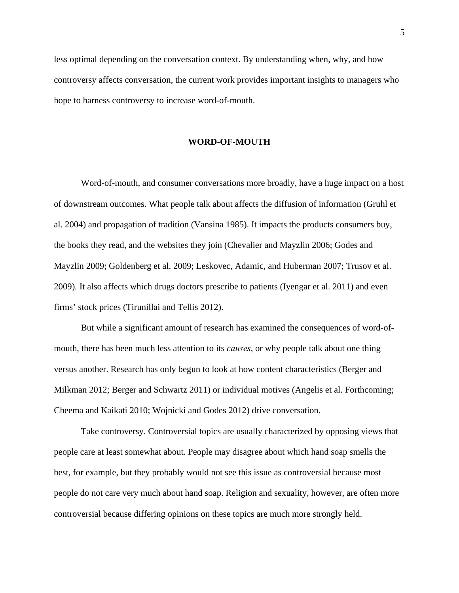less optimal depending on the conversation context. By understanding when, why, and how controversy affects conversation, the current work provides important insights to managers who hope to harness controversy to increase word-of-mouth.

#### **WORD-OF-MOUTH**

 Word-of-mouth, and consumer conversations more broadly, have a huge impact on a host of downstream outcomes. What people talk about affects the diffusion of information (Gruhl et al. 2004) and propagation of tradition (Vansina 1985). It impacts the products consumers buy, the books they read, and the websites they join (Chevalier and Mayzlin 2006; Godes and Mayzlin 2009; Goldenberg et al. 2009; Leskovec, Adamic, and Huberman 2007; Trusov et al. 2009)*.* It also affects which drugs doctors prescribe to patients (Iyengar et al. 2011) and even firms' stock prices (Tirunillai and Tellis 2012).

 But while a significant amount of research has examined the consequences of word-ofmouth, there has been much less attention to its *causes*, or why people talk about one thing versus another. Research has only begun to look at how content characteristics (Berger and Milkman 2012; Berger and Schwartz 2011) or individual motives (Angelis et al. Forthcoming; Cheema and Kaikati 2010; Wojnicki and Godes 2012) drive conversation.

 Take controversy. Controversial topics are usually characterized by opposing views that people care at least somewhat about. People may disagree about which hand soap smells the best, for example, but they probably would not see this issue as controversial because most people do not care very much about hand soap. Religion and sexuality, however, are often more controversial because differing opinions on these topics are much more strongly held.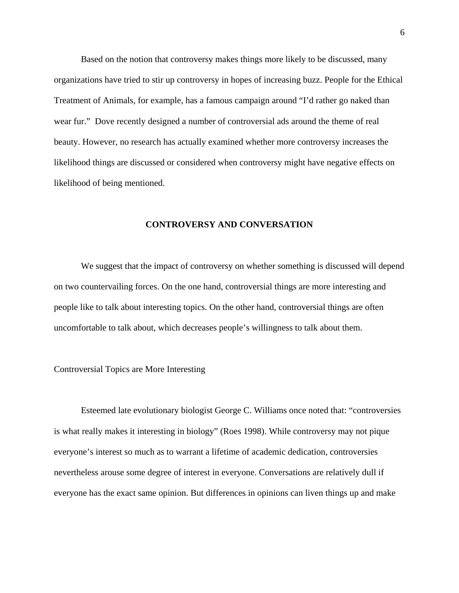Based on the notion that controversy makes things more likely to be discussed, many organizations have tried to stir up controversy in hopes of increasing buzz. People for the Ethical Treatment of Animals, for example, has a famous campaign around "I'd rather go naked than wear fur." Dove recently designed a number of controversial ads around the theme of real beauty. However, no research has actually examined whether more controversy increases the likelihood things are discussed or considered when controversy might have negative effects on likelihood of being mentioned.

## **CONTROVERSY AND CONVERSATION**

 We suggest that the impact of controversy on whether something is discussed will depend on two countervailing forces. On the one hand, controversial things are more interesting and people like to talk about interesting topics. On the other hand, controversial things are often uncomfortable to talk about, which decreases people's willingness to talk about them.

#### Controversial Topics are More Interesting

 Esteemed late evolutionary biologist George C. Williams once noted that: "controversies is what really makes it interesting in biology" (Roes 1998). While controversy may not pique everyone's interest so much as to warrant a lifetime of academic dedication, controversies nevertheless arouse some degree of interest in everyone. Conversations are relatively dull if everyone has the exact same opinion. But differences in opinions can liven things up and make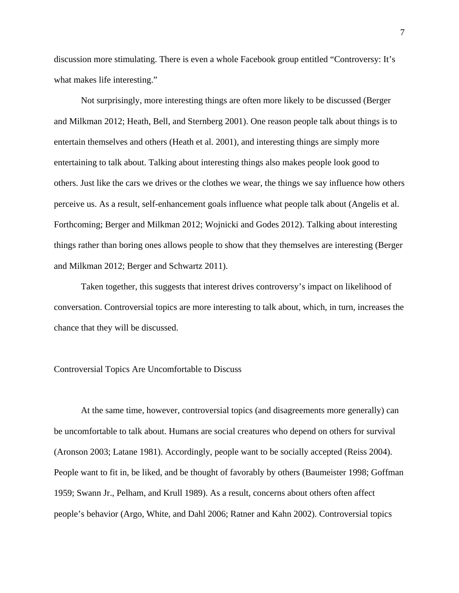discussion more stimulating. There is even a whole Facebook group entitled "Controversy: It's what makes life interesting."

 Not surprisingly, more interesting things are often more likely to be discussed (Berger and Milkman 2012; Heath, Bell, and Sternberg 2001). One reason people talk about things is to entertain themselves and others (Heath et al. 2001), and interesting things are simply more entertaining to talk about. Talking about interesting things also makes people look good to others. Just like the cars we drives or the clothes we wear, the things we say influence how others perceive us. As a result, self-enhancement goals influence what people talk about (Angelis et al. Forthcoming; Berger and Milkman 2012; Wojnicki and Godes 2012). Talking about interesting things rather than boring ones allows people to show that they themselves are interesting (Berger and Milkman 2012; Berger and Schwartz 2011).

 Taken together, this suggests that interest drives controversy's impact on likelihood of conversation. Controversial topics are more interesting to talk about, which, in turn, increases the chance that they will be discussed.

#### Controversial Topics Are Uncomfortable to Discuss

 At the same time, however, controversial topics (and disagreements more generally) can be uncomfortable to talk about. Humans are social creatures who depend on others for survival (Aronson 2003; Latane 1981). Accordingly, people want to be socially accepted (Reiss 2004). People want to fit in, be liked, and be thought of favorably by others (Baumeister 1998; Goffman 1959; Swann Jr., Pelham, and Krull 1989). As a result, concerns about others often affect people's behavior (Argo, White, and Dahl 2006; Ratner and Kahn 2002). Controversial topics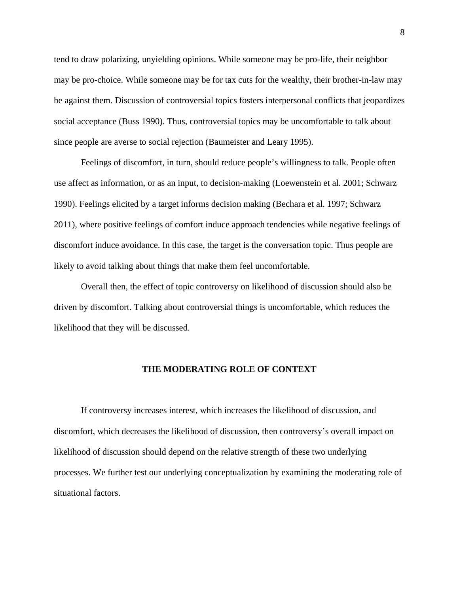tend to draw polarizing, unyielding opinions. While someone may be pro-life, their neighbor may be pro-choice. While someone may be for tax cuts for the wealthy, their brother-in-law may be against them. Discussion of controversial topics fosters interpersonal conflicts that jeopardizes social acceptance (Buss 1990). Thus, controversial topics may be uncomfortable to talk about since people are averse to social rejection (Baumeister and Leary 1995).

 Feelings of discomfort, in turn, should reduce people's willingness to talk. People often use affect as information, or as an input, to decision-making (Loewenstein et al. 2001; Schwarz 1990). Feelings elicited by a target informs decision making (Bechara et al. 1997; Schwarz 2011), where positive feelings of comfort induce approach tendencies while negative feelings of discomfort induce avoidance. In this case, the target is the conversation topic. Thus people are likely to avoid talking about things that make them feel uncomfortable.

 Overall then, the effect of topic controversy on likelihood of discussion should also be driven by discomfort. Talking about controversial things is uncomfortable, which reduces the likelihood that they will be discussed.

#### **THE MODERATING ROLE OF CONTEXT**

 If controversy increases interest, which increases the likelihood of discussion, and discomfort, which decreases the likelihood of discussion, then controversy's overall impact on likelihood of discussion should depend on the relative strength of these two underlying processes. We further test our underlying conceptualization by examining the moderating role of situational factors.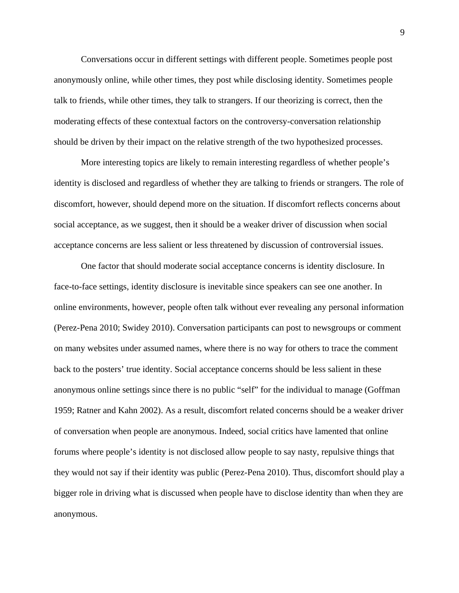Conversations occur in different settings with different people. Sometimes people post anonymously online, while other times, they post while disclosing identity. Sometimes people talk to friends, while other times, they talk to strangers. If our theorizing is correct, then the moderating effects of these contextual factors on the controversy-conversation relationship should be driven by their impact on the relative strength of the two hypothesized processes.

 More interesting topics are likely to remain interesting regardless of whether people's identity is disclosed and regardless of whether they are talking to friends or strangers. The role of discomfort, however, should depend more on the situation. If discomfort reflects concerns about social acceptance, as we suggest, then it should be a weaker driver of discussion when social acceptance concerns are less salient or less threatened by discussion of controversial issues.

 One factor that should moderate social acceptance concerns is identity disclosure. In face-to-face settings, identity disclosure is inevitable since speakers can see one another. In online environments, however, people often talk without ever revealing any personal information (Perez-Pena 2010; Swidey 2010). Conversation participants can post to newsgroups or comment on many websites under assumed names, where there is no way for others to trace the comment back to the posters' true identity. Social acceptance concerns should be less salient in these anonymous online settings since there is no public "self" for the individual to manage (Goffman 1959; Ratner and Kahn 2002). As a result, discomfort related concerns should be a weaker driver of conversation when people are anonymous. Indeed, social critics have lamented that online forums where people's identity is not disclosed allow people to say nasty, repulsive things that they would not say if their identity was public (Perez-Pena 2010). Thus, discomfort should play a bigger role in driving what is discussed when people have to disclose identity than when they are anonymous.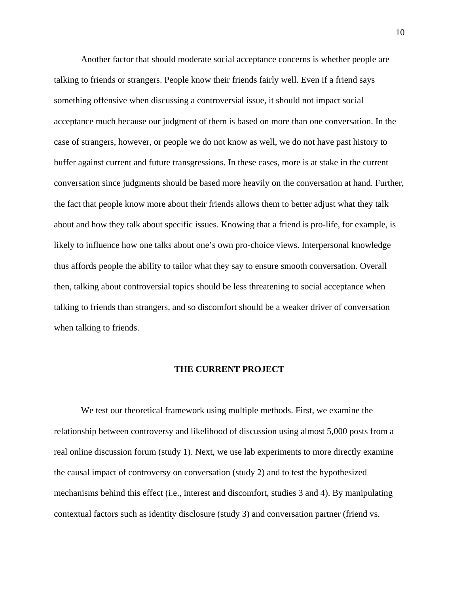Another factor that should moderate social acceptance concerns is whether people are talking to friends or strangers. People know their friends fairly well. Even if a friend says something offensive when discussing a controversial issue, it should not impact social acceptance much because our judgment of them is based on more than one conversation. In the case of strangers, however, or people we do not know as well, we do not have past history to buffer against current and future transgressions. In these cases, more is at stake in the current conversation since judgments should be based more heavily on the conversation at hand. Further, the fact that people know more about their friends allows them to better adjust what they talk about and how they talk about specific issues. Knowing that a friend is pro-life, for example, is likely to influence how one talks about one's own pro-choice views. Interpersonal knowledge thus affords people the ability to tailor what they say to ensure smooth conversation. Overall then, talking about controversial topics should be less threatening to social acceptance when talking to friends than strangers, and so discomfort should be a weaker driver of conversation when talking to friends.

#### **THE CURRENT PROJECT**

 We test our theoretical framework using multiple methods. First, we examine the relationship between controversy and likelihood of discussion using almost 5,000 posts from a real online discussion forum (study 1). Next, we use lab experiments to more directly examine the causal impact of controversy on conversation (study 2) and to test the hypothesized mechanisms behind this effect (i.e., interest and discomfort, studies 3 and 4). By manipulating contextual factors such as identity disclosure (study 3) and conversation partner (friend vs.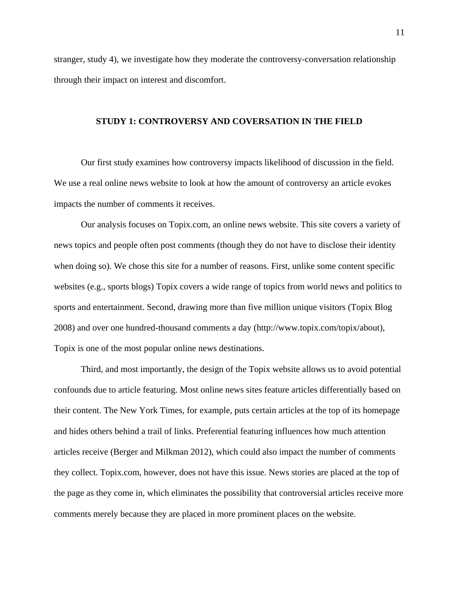stranger, study 4), we investigate how they moderate the controversy-conversation relationship through their impact on interest and discomfort.

#### **STUDY 1: CONTROVERSY AND COVERSATION IN THE FIELD**

 Our first study examines how controversy impacts likelihood of discussion in the field. We use a real online news website to look at how the amount of controversy an article evokes impacts the number of comments it receives.

 Our analysis focuses on Topix.com, an online news website. This site covers a variety of news topics and people often post comments (though they do not have to disclose their identity when doing so). We chose this site for a number of reasons. First, unlike some content specific websites (e.g., sports blogs) Topix covers a wide range of topics from world news and politics to sports and entertainment. Second, drawing more than five million unique visitors (Topix Blog 2008) and over one hundred-thousand comments a day (http://www.topix.com/topix/about), Topix is one of the most popular online news destinations.

Third, and most importantly, the design of the Topix website allows us to avoid potential confounds due to article featuring. Most online news sites feature articles differentially based on their content. The New York Times, for example, puts certain articles at the top of its homepage and hides others behind a trail of links. Preferential featuring influences how much attention articles receive (Berger and Milkman 2012), which could also impact the number of comments they collect. Topix.com, however, does not have this issue. News stories are placed at the top of the page as they come in, which eliminates the possibility that controversial articles receive more comments merely because they are placed in more prominent places on the website.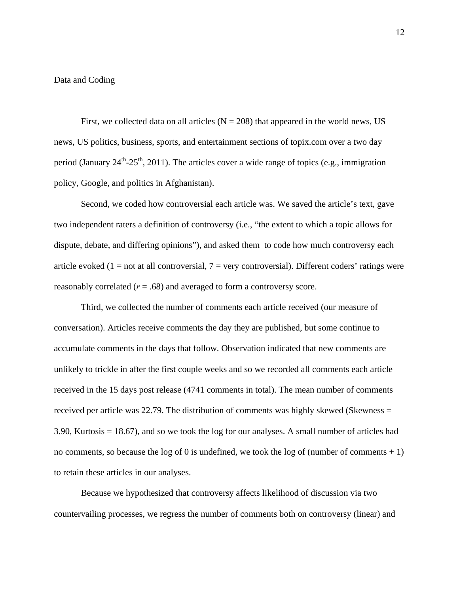#### Data and Coding

First, we collected data on all articles  $(N = 208)$  that appeared in the world news, US news, US politics, business, sports, and entertainment sections of topix.com over a two day period (January  $24^{\text{th}}-25^{\text{th}}$ , 2011). The articles cover a wide range of topics (e.g., immigration policy, Google, and politics in Afghanistan).

Second, we coded how controversial each article was. We saved the article's text, gave two independent raters a definition of controversy (i.e., "the extent to which a topic allows for dispute, debate, and differing opinions"), and asked them to code how much controversy each article evoked  $(1 = not at all controversial, 7 = very controversial)$ . Different coders' ratings were reasonably correlated (*r* = .68) and averaged to form a controversy score.

Third, we collected the number of comments each article received (our measure of conversation). Articles receive comments the day they are published, but some continue to accumulate comments in the days that follow. Observation indicated that new comments are unlikely to trickle in after the first couple weeks and so we recorded all comments each article received in the 15 days post release (4741 comments in total). The mean number of comments received per article was 22.79. The distribution of comments was highly skewed (Skewness = 3.90, Kurtosis = 18.67), and so we took the log for our analyses. A small number of articles had no comments, so because the log of 0 is undefined, we took the log of (number of comments  $+ 1$ ) to retain these articles in our analyses.

 Because we hypothesized that controversy affects likelihood of discussion via two countervailing processes, we regress the number of comments both on controversy (linear) and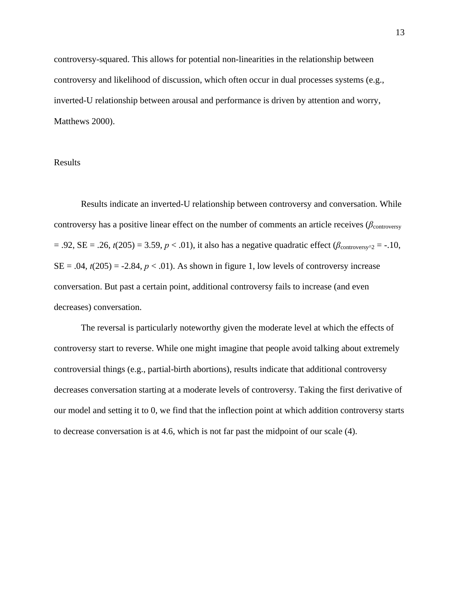controversy-squared. This allows for potential non-linearities in the relationship between controversy and likelihood of discussion, which often occur in dual processes systems (e.g., inverted-U relationship between arousal and performance is driven by attention and worry, Matthews 2000).

#### Results

 Results indicate an inverted-U relationship between controversy and conversation. While controversy has a positive linear effect on the number of comments an article receives ( $\beta_{\text{controversv}}$ )  $= .92$ , SE = .26, *t*(205) = 3.59, *p* < .01), it also has a negative quadratic effect ( $\beta_{\text{controversy}}$   $\gamma$  = -.10,  $SE = .04$ ,  $t(205) = -2.84$ ,  $p < .01$ ). As shown in figure 1, low levels of controversy increase conversation. But past a certain point, additional controversy fails to increase (and even decreases) conversation.

The reversal is particularly noteworthy given the moderate level at which the effects of controversy start to reverse. While one might imagine that people avoid talking about extremely controversial things (e.g., partial-birth abortions), results indicate that additional controversy decreases conversation starting at a moderate levels of controversy. Taking the first derivative of our model and setting it to 0, we find that the inflection point at which addition controversy starts to decrease conversation is at 4.6, which is not far past the midpoint of our scale (4).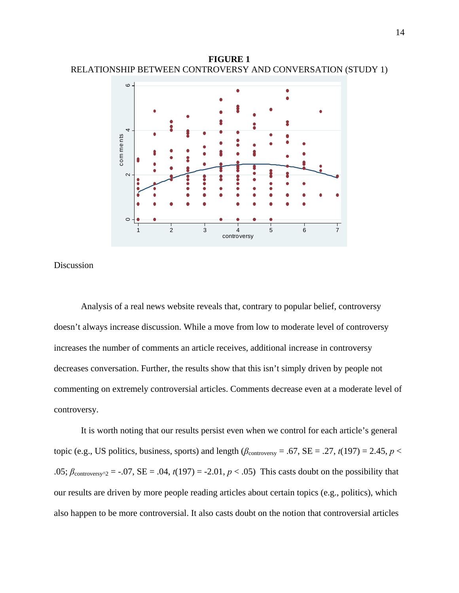**FIGURE 1**  RELATIONSHIP BETWEEN CONTROVERSY AND CONVERSATION (STUDY 1)



Discussion

Analysis of a real news website reveals that, contrary to popular belief, controversy doesn't always increase discussion. While a move from low to moderate level of controversy increases the number of comments an article receives, additional increase in controversy decreases conversation. Further, the results show that this isn't simply driven by people not commenting on extremely controversial articles. Comments decrease even at a moderate level of controversy.

 It is worth noting that our results persist even when we control for each article's general topic (e.g., US politics, business, sports) and length  $(\beta_{\text{controversy}} = .67, \text{SE} = .27, t(197) = 2.45, p <$ .05;  $\beta$ <sub>controversy</sub> $\gamma$ <sub>2</sub> = -.07, SE = .04, *t*(197) = -2.01, *p* < .05) This casts doubt on the possibility that our results are driven by more people reading articles about certain topics (e.g., politics), which also happen to be more controversial. It also casts doubt on the notion that controversial articles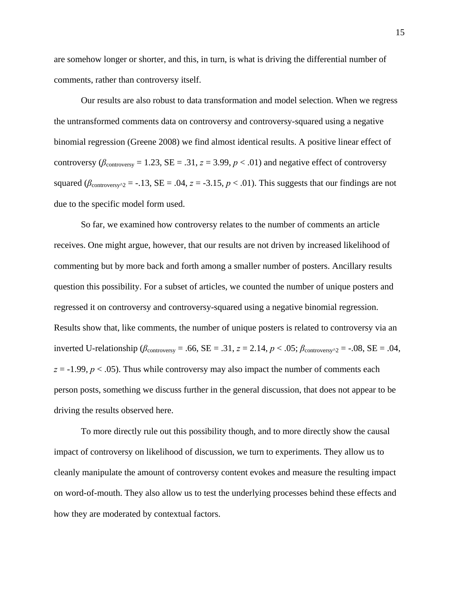are somehow longer or shorter, and this, in turn, is what is driving the differential number of comments, rather than controversy itself.

Our results are also robust to data transformation and model selection. When we regress the untransformed comments data on controversy and controversy-squared using a negative binomial regression (Greene 2008) we find almost identical results. A positive linear effect of controversy ( $\beta_{\text{controversy}} = 1.23$ , SE = .31,  $z = 3.99$ ,  $p < .01$ ) and negative effect of controversy squared ( $\beta$ <sub>controversy</sub> $\gamma$ <sub>2</sub> = -.13, SE = .04, *z* = -3.15, *p* < .01). This suggests that our findings are not due to the specific model form used.

So far, we examined how controversy relates to the number of comments an article receives. One might argue, however, that our results are not driven by increased likelihood of commenting but by more back and forth among a smaller number of posters. Ancillary results question this possibility. For a subset of articles, we counted the number of unique posters and regressed it on controversy and controversy-squared using a negative binomial regression. Results show that, like comments, the number of unique posters is related to controversy via an inverted U-relationship ( $\beta_{\text{controversy}} = .66$ , SE = .31, *z* = 2.14, *p* < .05;  $\beta_{\text{controversy}}$ <sup>2</sup> = -.08, SE = .04,  $z = -1.99$ ,  $p < .05$ ). Thus while controversy may also impact the number of comments each person posts, something we discuss further in the general discussion, that does not appear to be driving the results observed here.

 To more directly rule out this possibility though, and to more directly show the causal impact of controversy on likelihood of discussion, we turn to experiments. They allow us to cleanly manipulate the amount of controversy content evokes and measure the resulting impact on word-of-mouth. They also allow us to test the underlying processes behind these effects and how they are moderated by contextual factors.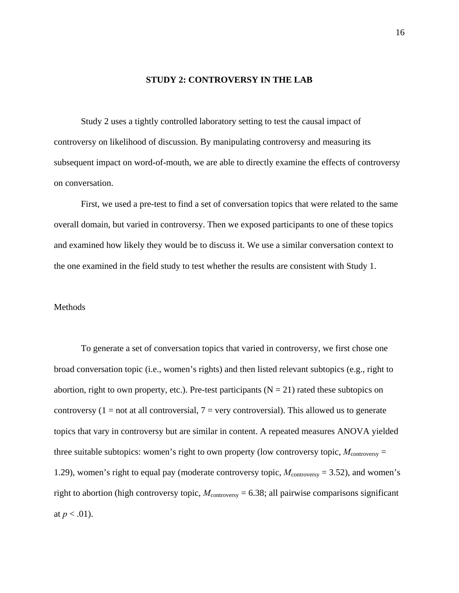#### **STUDY 2: CONTROVERSY IN THE LAB**

 Study 2 uses a tightly controlled laboratory setting to test the causal impact of controversy on likelihood of discussion. By manipulating controversy and measuring its subsequent impact on word-of-mouth, we are able to directly examine the effects of controversy on conversation.

First, we used a pre-test to find a set of conversation topics that were related to the same overall domain, but varied in controversy. Then we exposed participants to one of these topics and examined how likely they would be to discuss it. We use a similar conversation context to the one examined in the field study to test whether the results are consistent with Study 1.

#### **Methods**

 To generate a set of conversation topics that varied in controversy, we first chose one broad conversation topic (i.e., women's rights) and then listed relevant subtopics (e.g., right to abortion, right to own property, etc.). Pre-test participants  $(N = 21)$  rated these subtopics on controversy  $(1 = not at all controversial, 7 = very controversial)$ . This allowed us to generate topics that vary in controversy but are similar in content. A repeated measures ANOVA yielded three suitable subtopics: women's right to own property (low controversy topic,  $M_{\text{controversv}} =$ 1.29), women's right to equal pay (moderate controversy topic,  $M_{\text{controversy}} = 3.52$ ), and women's right to abortion (high controversy topic,  $M_{\text{controversy}} = 6.38$ ; all pairwise comparisons significant at  $p < .01$ ).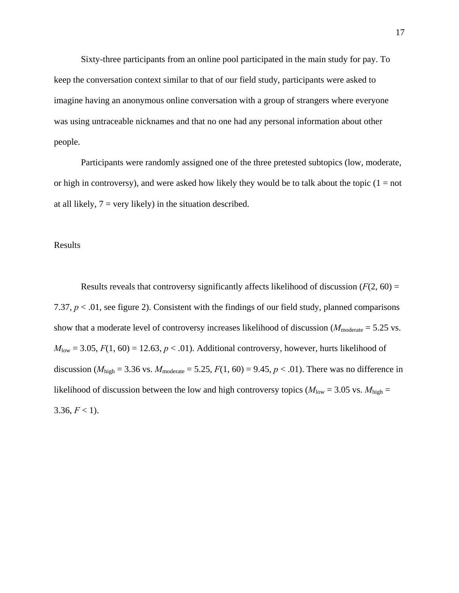Sixty-three participants from an online pool participated in the main study for pay. To keep the conversation context similar to that of our field study, participants were asked to imagine having an anonymous online conversation with a group of strangers where everyone was using untraceable nicknames and that no one had any personal information about other people.

Participants were randomly assigned one of the three pretested subtopics (low, moderate, or high in controversy), and were asked how likely they would be to talk about the topic  $(1 = not$ at all likely,  $7 = \text{very likely}$  in the situation described.

Results

Results reveals that controversy significantly affects likelihood of discussion  $(F(2, 60) =$ 7.37, *p* < .01, see figure 2). Consistent with the findings of our field study, planned comparisons show that a moderate level of controversy increases likelihood of discussion ( $M_{\text{moderate}} = 5.25$  vs.  $M_{\text{low}} = 3.05$ ,  $F(1, 60) = 12.63$ ,  $p < .01$ ). Additional controversy, however, hurts likelihood of discussion ( $M_{\text{high}} = 3.36$  vs.  $M_{\text{moderate}} = 5.25, F(1, 60) = 9.45, p < .01$ ). There was no difference in likelihood of discussion between the low and high controversy topics ( $M_{\text{low}} = 3.05$  vs.  $M_{\text{high}} =$  $3.36, F < 1$ ).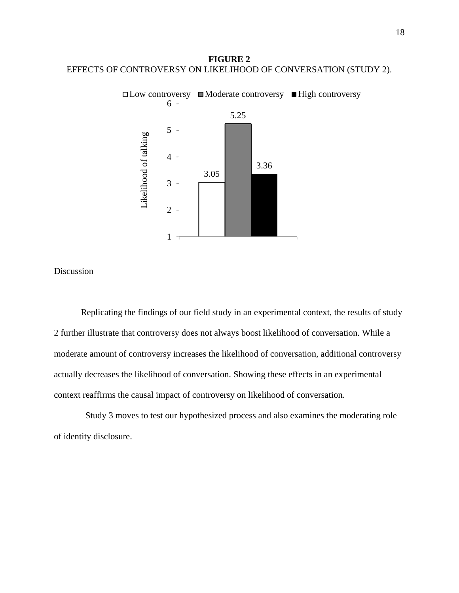**FIGURE 2** EFFECTS OF CONTROVERSY ON LIKELIHOOD OF CONVERSATION (STUDY 2).



Discussion

Replicating the findings of our field study in an experimental context, the results of study 2 further illustrate that controversy does not always boost likelihood of conversation. While a moderate amount of controversy increases the likelihood of conversation, additional controversy actually decreases the likelihood of conversation. Showing these effects in an experimental context reaffirms the causal impact of controversy on likelihood of conversation.

 Study 3 moves to test our hypothesized process and also examines the moderating role of identity disclosure.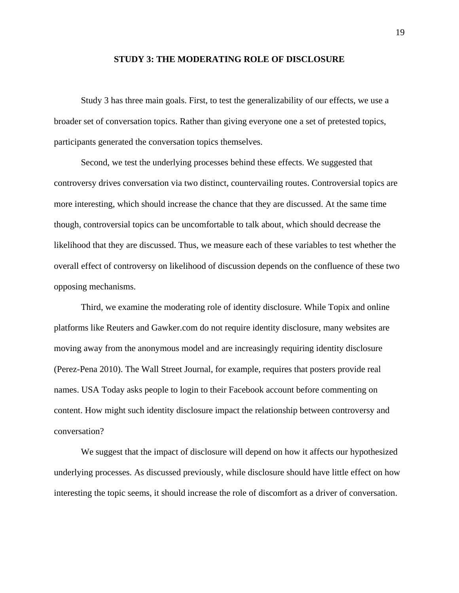#### **STUDY 3: THE MODERATING ROLE OF DISCLOSURE**

Study 3 has three main goals. First, to test the generalizability of our effects, we use a broader set of conversation topics. Rather than giving everyone one a set of pretested topics, participants generated the conversation topics themselves.

Second, we test the underlying processes behind these effects. We suggested that controversy drives conversation via two distinct, countervailing routes. Controversial topics are more interesting, which should increase the chance that they are discussed. At the same time though, controversial topics can be uncomfortable to talk about, which should decrease the likelihood that they are discussed. Thus, we measure each of these variables to test whether the overall effect of controversy on likelihood of discussion depends on the confluence of these two opposing mechanisms.

Third, we examine the moderating role of identity disclosure. While Topix and online platforms like Reuters and Gawker.com do not require identity disclosure, many websites are moving away from the anonymous model and are increasingly requiring identity disclosure (Perez-Pena 2010). The Wall Street Journal, for example, requires that posters provide real names. USA Today asks people to login to their Facebook account before commenting on content. How might such identity disclosure impact the relationship between controversy and conversation?

We suggest that the impact of disclosure will depend on how it affects our hypothesized underlying processes. As discussed previously, while disclosure should have little effect on how interesting the topic seems, it should increase the role of discomfort as a driver of conversation.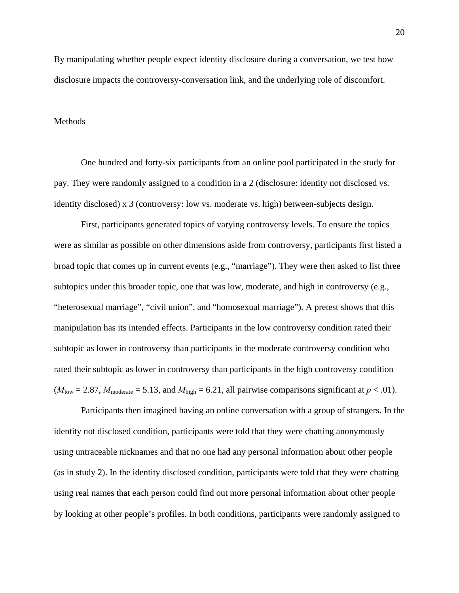By manipulating whether people expect identity disclosure during a conversation, we test how disclosure impacts the controversy-conversation link, and the underlying role of discomfort.

#### Methods

One hundred and forty-six participants from an online pool participated in the study for pay. They were randomly assigned to a condition in a 2 (disclosure: identity not disclosed vs. identity disclosed) x 3 (controversy: low vs. moderate vs. high) between-subjects design.

First, participants generated topics of varying controversy levels. To ensure the topics were as similar as possible on other dimensions aside from controversy, participants first listed a broad topic that comes up in current events (e.g., "marriage"). They were then asked to list three subtopics under this broader topic, one that was low, moderate, and high in controversy (e.g., "heterosexual marriage", "civil union", and "homosexual marriage"). A pretest shows that this manipulation has its intended effects. Participants in the low controversy condition rated their subtopic as lower in controversy than participants in the moderate controversy condition who rated their subtopic as lower in controversy than participants in the high controversy condition  $(M_{\text{low}} = 2.87, M_{\text{moderate}} = 5.13, \text{ and } M_{\text{high}} = 6.21, \text{ all pairwise comparisons significant at } p < .01).$ 

Participants then imagined having an online conversation with a group of strangers. In the identity not disclosed condition, participants were told that they were chatting anonymously using untraceable nicknames and that no one had any personal information about other people (as in study 2). In the identity disclosed condition, participants were told that they were chatting using real names that each person could find out more personal information about other people by looking at other people's profiles. In both conditions, participants were randomly assigned to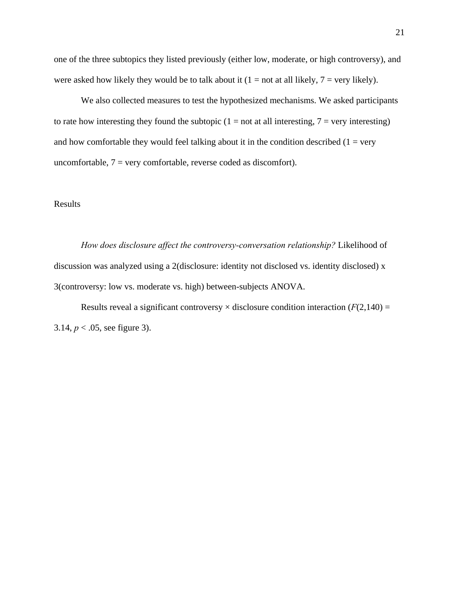one of the three subtopics they listed previously (either low, moderate, or high controversy), and were asked how likely they would be to talk about it  $(1 = not at all likely, 7 = very likely).$ 

We also collected measures to test the hypothesized mechanisms. We asked participants to rate how interesting they found the subtopic  $(1 = not at all interesting, 7 = very interesting)$ and how comfortable they would feel talking about it in the condition described  $(1 = \text{very }$ uncomfortable,  $7 = \text{very comfortable}$ , reverse coded as discomfort).

## Results

*How does disclosure affect the controversy-conversation relationship?* Likelihood of discussion was analyzed using a 2(disclosure: identity not disclosed vs. identity disclosed) x 3(controversy: low vs. moderate vs. high) between-subjects ANOVA.

Results reveal a significant controversy  $\times$  disclosure condition interaction ( $F(2,140) =$ 3.14, *p* < .05, see figure 3).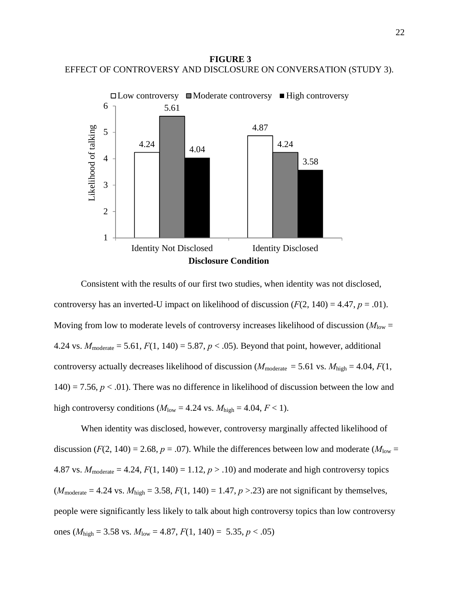**FIGURE 3** EFFECT OF CONTROVERSY AND DISCLOSURE ON CONVERSATION (STUDY 3).



Consistent with the results of our first two studies, when identity was not disclosed, controversy has an inverted-U impact on likelihood of discussion  $(F(2, 140) = 4.47, p = .01)$ . Moving from low to moderate levels of controversy increases likelihood of discussion ( $M_{\text{low}} =$ 4.24 vs.  $M_{\text{moderate}} = 5.61, F(1, 140) = 5.87, p < .05$ . Beyond that point, however, additional controversy actually decreases likelihood of discussion ( $M_{\text{moderate}} = 5.61$  vs.  $M_{\text{high}} = 4.04$ ,  $F(1)$ ,  $140$ ) = 7.56,  $p < .01$ ). There was no difference in likelihood of discussion between the low and high controversy conditions ( $M_{\text{low}} = 4.24$  vs.  $M_{\text{high}} = 4.04, F < 1$ ).

 When identity was disclosed, however, controversy marginally affected likelihood of discussion ( $F(2, 140) = 2.68$ ,  $p = .07$ ). While the differences between low and moderate ( $M_{\text{low}} =$ 4.87 vs.  $M_{\text{moderate}} = 4.24$ ,  $F(1, 140) = 1.12$ ,  $p > .10$ ) and moderate and high controversy topics  $(M_{\text{moderate}} = 4.24 \text{ vs. } M_{\text{high}} = 3.58, F(1, 140) = 1.47, p > 23$  are not significant by themselves, people were significantly less likely to talk about high controversy topics than low controversy ones ( $M_{\text{high}} = 3.58$  vs.  $M_{\text{low}} = 4.87, F(1, 140) = 5.35, p < .05$ )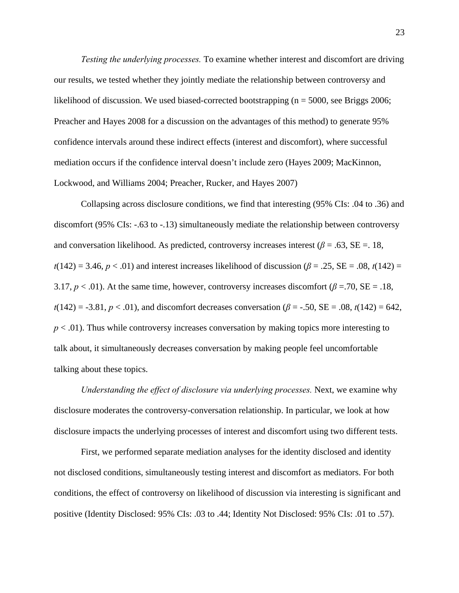*Testing the underlying processes.* To examine whether interest and discomfort are driving our results, we tested whether they jointly mediate the relationship between controversy and likelihood of discussion. We used biased-corrected bootstrapping ( $n = 5000$ , see Briggs 2006; Preacher and Hayes 2008 for a discussion on the advantages of this method) to generate 95% confidence intervals around these indirect effects (interest and discomfort), where successful mediation occurs if the confidence interval doesn't include zero (Hayes 2009; MacKinnon, Lockwood, and Williams 2004; Preacher, Rucker, and Hayes 2007)

Collapsing across disclosure conditions, we find that interesting (95% CIs: .04 to .36) and discomfort (95% CIs: -.63 to -.13) simultaneously mediate the relationship between controversy and conversation likelihood. As predicted, controversy increases interest ( $\beta$  = .63, SE = .18, *t*(142) = 3.46, *p* < .01) and interest increases likelihood of discussion ( $\beta$  = .25, SE = .08, *t*(142) = 3.17,  $p < 0.01$ ). At the same time, however, controversy increases discomfort ( $\beta = 0.70$ , SE = .18, *t*(142) = -3.81, *p* < .01), and discomfort decreases conversation ( $\beta$  = -.50, SE = .08, *t*(142) = 642, *p* < .01). Thus while controversy increases conversation by making topics more interesting to talk about, it simultaneously decreases conversation by making people feel uncomfortable talking about these topics.

*Understanding the effect of disclosure via underlying processes.* Next, we examine why disclosure moderates the controversy-conversation relationship. In particular, we look at how disclosure impacts the underlying processes of interest and discomfort using two different tests.

First, we performed separate mediation analyses for the identity disclosed and identity not disclosed conditions, simultaneously testing interest and discomfort as mediators. For both conditions, the effect of controversy on likelihood of discussion via interesting is significant and positive (Identity Disclosed: 95% CIs: .03 to .44; Identity Not Disclosed: 95% CIs: .01 to .57).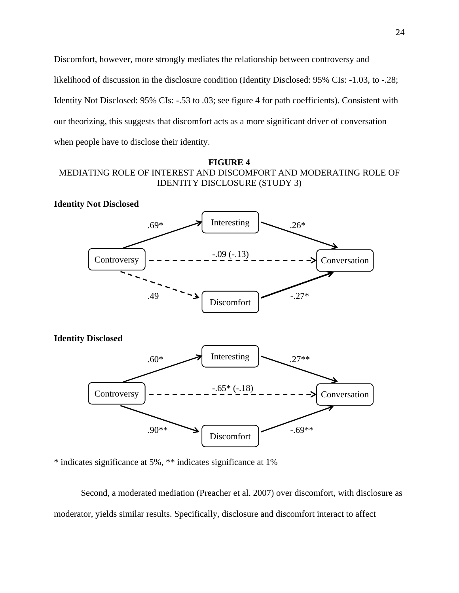Discomfort, however, more strongly mediates the relationship between controversy and likelihood of discussion in the disclosure condition (Identity Disclosed: 95% CIs: -1.03, to -.28; Identity Not Disclosed: 95% CIs: -.53 to .03; see figure 4 for path coefficients). Consistent with our theorizing, this suggests that discomfort acts as a more significant driver of conversation when people have to disclose their identity.

## **FIGURE 4**  MEDIATING ROLE OF INTEREST AND DISCOMFORT AND MODERATING ROLE OF IDENTITY DISCLOSURE (STUDY 3)



\* indicates significance at 5%, \*\* indicates significance at 1%

Second, a moderated mediation (Preacher et al. 2007) over discomfort, with disclosure as moderator, yields similar results. Specifically, disclosure and discomfort interact to affect

Discomfort

 $.90**$  -.69\*\*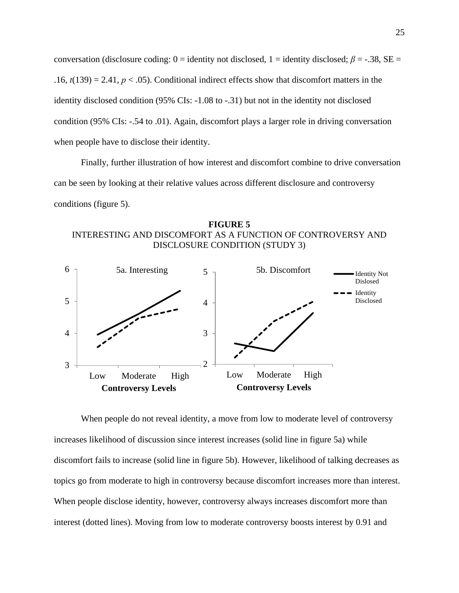conversation (disclosure coding:  $0 =$  identity not disclosed,  $1 =$  identity disclosed;  $\beta = -0.38$ , SE =  $.16, t(139) = 2.41, p < .05$ ). Conditional indirect effects show that discomfort matters in the identity disclosed condition (95% CIs: -1.08 to -.31) but not in the identity not disclosed condition (95% CIs: -.54 to .01). Again, discomfort plays a larger role in driving conversation when people have to disclose their identity.

Finally, further illustration of how interest and discomfort combine to drive conversation can be seen by looking at their relative values across different disclosure and controversy conditions (figure 5).

**FIGURE 5**  INTERESTING AND DISCOMFORT AS A FUNCTION OF CONTROVERSY AND DISCLOSURE CONDITION (STUDY 3)



When people do not reveal identity, a move from low to moderate level of controversy increases likelihood of discussion since interest increases (solid line in figure 5a) while discomfort fails to increase (solid line in figure 5b). However, likelihood of talking decreases as topics go from moderate to high in controversy because discomfort increases more than interest. When people disclose identity, however, controversy always increases discomfort more than interest (dotted lines). Moving from low to moderate controversy boosts interest by 0.91 and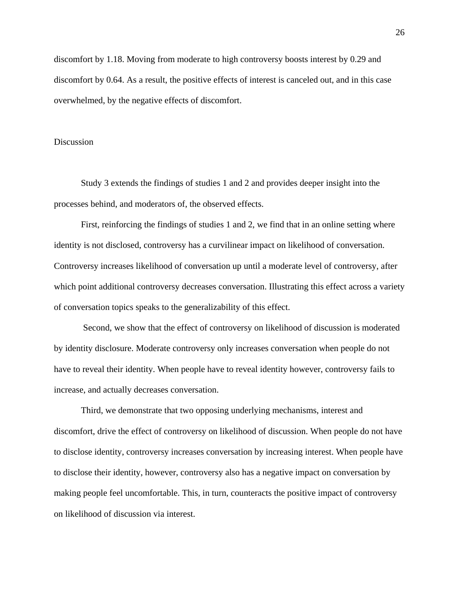discomfort by 1.18. Moving from moderate to high controversy boosts interest by 0.29 and discomfort by 0.64. As a result, the positive effects of interest is canceled out, and in this case overwhelmed, by the negative effects of discomfort.

#### Discussion

 Study 3 extends the findings of studies 1 and 2 and provides deeper insight into the processes behind, and moderators of, the observed effects.

First, reinforcing the findings of studies 1 and 2, we find that in an online setting where identity is not disclosed, controversy has a curvilinear impact on likelihood of conversation. Controversy increases likelihood of conversation up until a moderate level of controversy, after which point additional controversy decreases conversation. Illustrating this effect across a variety of conversation topics speaks to the generalizability of this effect.

 Second, we show that the effect of controversy on likelihood of discussion is moderated by identity disclosure. Moderate controversy only increases conversation when people do not have to reveal their identity. When people have to reveal identity however, controversy fails to increase, and actually decreases conversation.

Third, we demonstrate that two opposing underlying mechanisms, interest and discomfort, drive the effect of controversy on likelihood of discussion. When people do not have to disclose identity, controversy increases conversation by increasing interest. When people have to disclose their identity, however, controversy also has a negative impact on conversation by making people feel uncomfortable. This, in turn, counteracts the positive impact of controversy on likelihood of discussion via interest.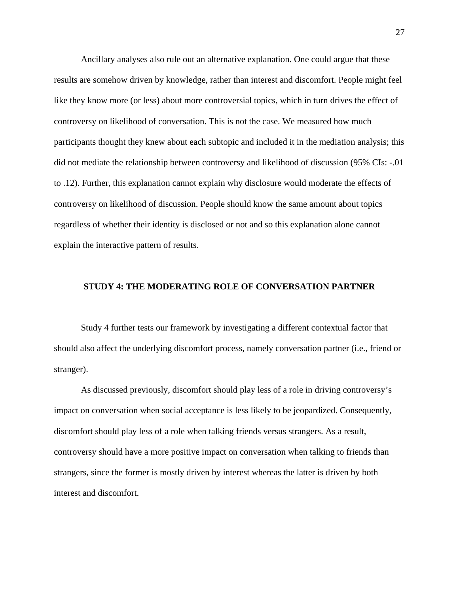Ancillary analyses also rule out an alternative explanation. One could argue that these results are somehow driven by knowledge, rather than interest and discomfort. People might feel like they know more (or less) about more controversial topics, which in turn drives the effect of controversy on likelihood of conversation. This is not the case. We measured how much participants thought they knew about each subtopic and included it in the mediation analysis; this did not mediate the relationship between controversy and likelihood of discussion (95% CIs: -.01 to .12). Further, this explanation cannot explain why disclosure would moderate the effects of controversy on likelihood of discussion. People should know the same amount about topics regardless of whether their identity is disclosed or not and so this explanation alone cannot explain the interactive pattern of results.

#### **STUDY 4: THE MODERATING ROLE OF CONVERSATION PARTNER**

Study 4 further tests our framework by investigating a different contextual factor that should also affect the underlying discomfort process, namely conversation partner (i.e., friend or stranger).

 As discussed previously, discomfort should play less of a role in driving controversy's impact on conversation when social acceptance is less likely to be jeopardized. Consequently, discomfort should play less of a role when talking friends versus strangers. As a result, controversy should have a more positive impact on conversation when talking to friends than strangers, since the former is mostly driven by interest whereas the latter is driven by both interest and discomfort.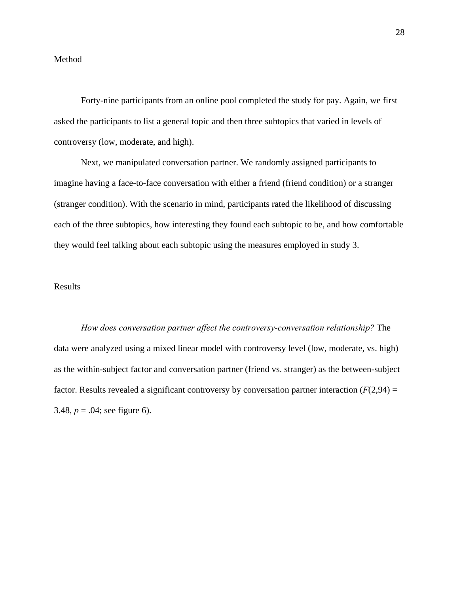#### Method

Forty-nine participants from an online pool completed the study for pay. Again, we first asked the participants to list a general topic and then three subtopics that varied in levels of controversy (low, moderate, and high).

Next, we manipulated conversation partner. We randomly assigned participants to imagine having a face-to-face conversation with either a friend (friend condition) or a stranger (stranger condition). With the scenario in mind, participants rated the likelihood of discussing each of the three subtopics, how interesting they found each subtopic to be, and how comfortable they would feel talking about each subtopic using the measures employed in study 3.

## Results

 *How does conversation partner affect the controversy-conversation relationship?* The data were analyzed using a mixed linear model with controversy level (low, moderate, vs. high) as the within-subject factor and conversation partner (friend vs. stranger) as the between-subject factor. Results revealed a significant controversy by conversation partner interaction  $(F(2,94) =$ 3.48,  $p = .04$ ; see figure 6).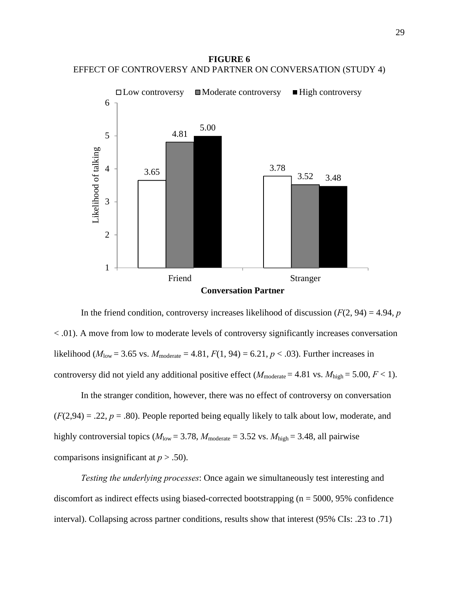**FIGURE 6**  EFFECT OF CONTROVERSY AND PARTNER ON CONVERSATION (STUDY 4)



In the friend condition, controversy increases likelihood of discussion  $(F(2, 94) = 4.94, p$ < .01). A move from low to moderate levels of controversy significantly increases conversation likelihood ( $M_{\text{low}} = 3.65$  vs.  $M_{\text{moderate}} = 4.81, F(1, 94) = 6.21, p < .03$ ). Further increases in controversy did not yield any additional positive effect  $(M_{\text{moderate}} = 4.81 \text{ vs. } M_{\text{high}} = 5.00, F < 1)$ .

In the stranger condition, however, there was no effect of controversy on conversation  $(F(2,94) = .22, p = .80)$ . People reported being equally likely to talk about low, moderate, and highly controversial topics ( $M_{\text{low}} = 3.78$ ,  $M_{\text{moderate}} = 3.52$  vs.  $M_{\text{high}} = 3.48$ , all pairwise comparisons insignificant at *p* > .50).

*Testing the underlying processes*: Once again we simultaneously test interesting and discomfort as indirect effects using biased-corrected bootstrapping (n = 5000, 95% confidence interval). Collapsing across partner conditions, results show that interest (95% CIs: .23 to .71)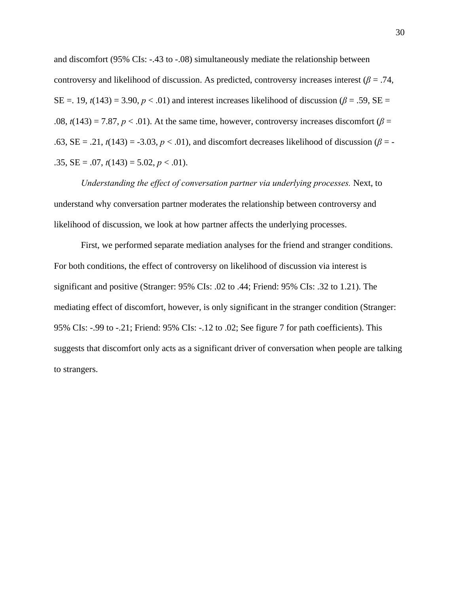and discomfort (95% CIs: -.43 to -.08) simultaneously mediate the relationship between controversy and likelihood of discussion. As predicted, controversy increases interest ( $\beta$  = .74, SE =. 19,  $t(143) = 3.90, p < .01$ ) and interest increases likelihood of discussion ( $\beta = .59$ , SE = .08,  $t(143) = 7.87$ ,  $p < .01$ ). At the same time, however, controversy increases discomfort ( $\beta =$ .63, SE = .21,  $t(143) = -3.03$ ,  $p < .01$ ), and discomfort decreases likelihood of discussion ( $\beta = -1$ .35,  $SE = .07$ ,  $t(143) = 5.02$ ,  $p < .01$ ).

*Understanding the effect of conversation partner via underlying processes.* Next, to understand why conversation partner moderates the relationship between controversy and likelihood of discussion, we look at how partner affects the underlying processes.

First, we performed separate mediation analyses for the friend and stranger conditions. For both conditions, the effect of controversy on likelihood of discussion via interest is significant and positive (Stranger: 95% CIs: .02 to .44; Friend: 95% CIs: .32 to 1.21). The mediating effect of discomfort, however, is only significant in the stranger condition (Stranger: 95% CIs: -.99 to -.21; Friend: 95% CIs: -.12 to .02; See figure 7 for path coefficients). This suggests that discomfort only acts as a significant driver of conversation when people are talking to strangers.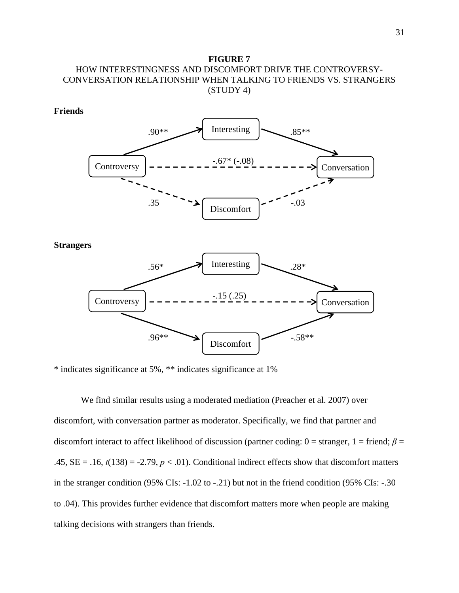## **FIGURE 7**  HOW INTERESTINGNESS AND DISCOMFORT DRIVE THE CONTROVERSY-CONVERSATION RELATIONSHIP WHEN TALKING TO FRIENDS VS. STRANGERS (STUDY 4)



**Strangers** 



\* indicates significance at 5%, \*\* indicates significance at 1%

We find similar results using a moderated mediation (Preacher et al. 2007) over discomfort, with conversation partner as moderator. Specifically, we find that partner and discomfort interact to affect likelihood of discussion (partner coding: 0 = stranger, 1 = friend; *β* = .45,  $SE = .16$ ,  $t(138) = -2.79$ ,  $p < .01$ ). Conditional indirect effects show that discomfort matters in the stranger condition (95% CIs: -1.02 to -.21) but not in the friend condition (95% CIs: -.30 to .04). This provides further evidence that discomfort matters more when people are making talking decisions with strangers than friends.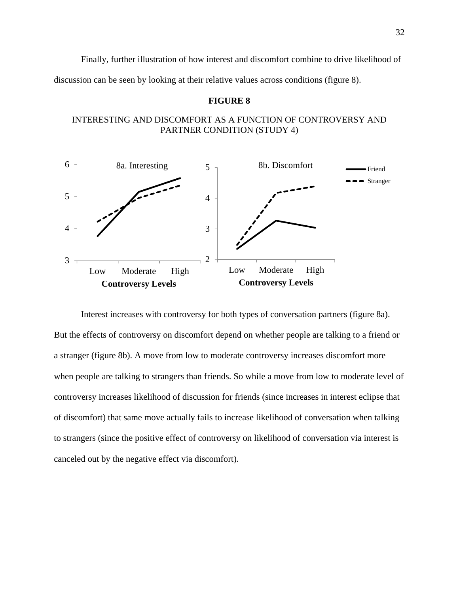Finally, further illustration of how interest and discomfort combine to drive likelihood of discussion can be seen by looking at their relative values across conditions (figure 8).

#### **FIGURE 8**

## INTERESTING AND DISCOMFORT AS A FUNCTION OF CONTROVERSY AND PARTNER CONDITION (STUDY 4)



Interest increases with controversy for both types of conversation partners (figure 8a). But the effects of controversy on discomfort depend on whether people are talking to a friend or a stranger (figure 8b). A move from low to moderate controversy increases discomfort more when people are talking to strangers than friends. So while a move from low to moderate level of controversy increases likelihood of discussion for friends (since increases in interest eclipse that of discomfort) that same move actually fails to increase likelihood of conversation when talking to strangers (since the positive effect of controversy on likelihood of conversation via interest is canceled out by the negative effect via discomfort).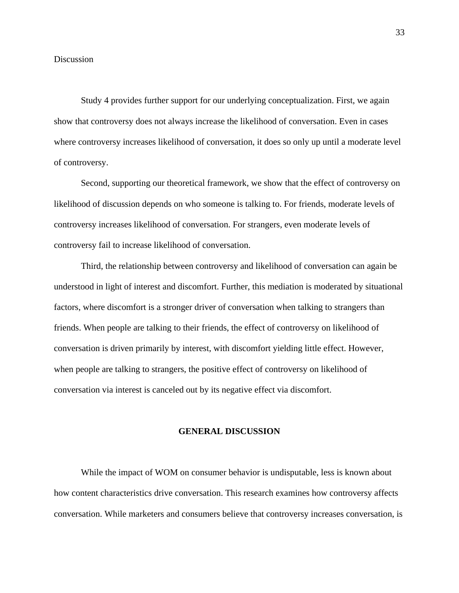#### Discussion

 Study 4 provides further support for our underlying conceptualization. First, we again show that controversy does not always increase the likelihood of conversation. Even in cases where controversy increases likelihood of conversation, it does so only up until a moderate level of controversy.

 Second, supporting our theoretical framework, we show that the effect of controversy on likelihood of discussion depends on who someone is talking to. For friends, moderate levels of controversy increases likelihood of conversation. For strangers, even moderate levels of controversy fail to increase likelihood of conversation.

Third, the relationship between controversy and likelihood of conversation can again be understood in light of interest and discomfort. Further, this mediation is moderated by situational factors, where discomfort is a stronger driver of conversation when talking to strangers than friends. When people are talking to their friends, the effect of controversy on likelihood of conversation is driven primarily by interest, with discomfort yielding little effect. However, when people are talking to strangers, the positive effect of controversy on likelihood of conversation via interest is canceled out by its negative effect via discomfort.

#### **GENERAL DISCUSSION**

 While the impact of WOM on consumer behavior is undisputable, less is known about how content characteristics drive conversation. This research examines how controversy affects conversation. While marketers and consumers believe that controversy increases conversation, is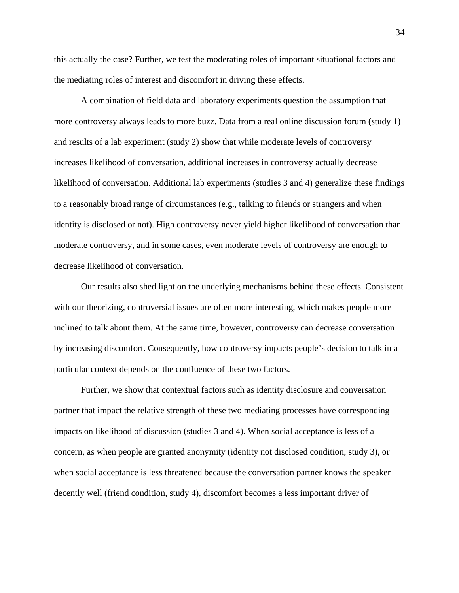this actually the case? Further, we test the moderating roles of important situational factors and the mediating roles of interest and discomfort in driving these effects.

 A combination of field data and laboratory experiments question the assumption that more controversy always leads to more buzz. Data from a real online discussion forum (study 1) and results of a lab experiment (study 2) show that while moderate levels of controversy increases likelihood of conversation, additional increases in controversy actually decrease likelihood of conversation. Additional lab experiments (studies 3 and 4) generalize these findings to a reasonably broad range of circumstances (e.g., talking to friends or strangers and when identity is disclosed or not). High controversy never yield higher likelihood of conversation than moderate controversy, and in some cases, even moderate levels of controversy are enough to decrease likelihood of conversation.

 Our results also shed light on the underlying mechanisms behind these effects. Consistent with our theorizing, controversial issues are often more interesting, which makes people more inclined to talk about them. At the same time, however, controversy can decrease conversation by increasing discomfort. Consequently, how controversy impacts people's decision to talk in a particular context depends on the confluence of these two factors.

 Further, we show that contextual factors such as identity disclosure and conversation partner that impact the relative strength of these two mediating processes have corresponding impacts on likelihood of discussion (studies 3 and 4). When social acceptance is less of a concern, as when people are granted anonymity (identity not disclosed condition, study 3), or when social acceptance is less threatened because the conversation partner knows the speaker decently well (friend condition, study 4), discomfort becomes a less important driver of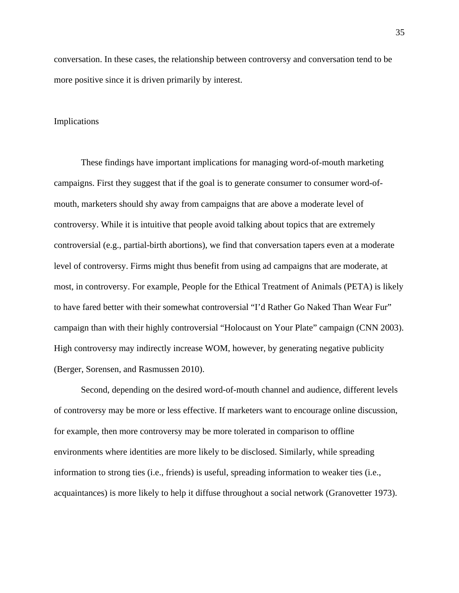conversation. In these cases, the relationship between controversy and conversation tend to be more positive since it is driven primarily by interest.

#### Implications

 These findings have important implications for managing word-of-mouth marketing campaigns. First they suggest that if the goal is to generate consumer to consumer word-ofmouth, marketers should shy away from campaigns that are above a moderate level of controversy. While it is intuitive that people avoid talking about topics that are extremely controversial (e.g., partial-birth abortions), we find that conversation tapers even at a moderate level of controversy. Firms might thus benefit from using ad campaigns that are moderate, at most, in controversy. For example, People for the Ethical Treatment of Animals (PETA) is likely to have fared better with their somewhat controversial "I'd Rather Go Naked Than Wear Fur" campaign than with their highly controversial "Holocaust on Your Plate" campaign (CNN 2003). High controversy may indirectly increase WOM, however, by generating negative publicity (Berger, Sorensen, and Rasmussen 2010).

 Second, depending on the desired word-of-mouth channel and audience, different levels of controversy may be more or less effective. If marketers want to encourage online discussion, for example, then more controversy may be more tolerated in comparison to offline environments where identities are more likely to be disclosed. Similarly, while spreading information to strong ties (i.e., friends) is useful, spreading information to weaker ties (i.e., acquaintances) is more likely to help it diffuse throughout a social network (Granovetter 1973).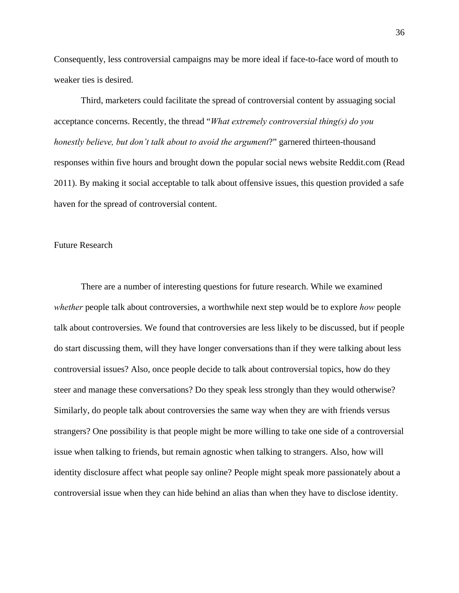Consequently, less controversial campaigns may be more ideal if face-to-face word of mouth to weaker ties is desired.

 Third, marketers could facilitate the spread of controversial content by assuaging social acceptance concerns. Recently, the thread "*What extremely controversial thing(s) do you honestly believe, but don't talk about to avoid the argument*?" garnered thirteen-thousand responses within five hours and brought down the popular social news website Reddit.com (Read 2011). By making it social acceptable to talk about offensive issues, this question provided a safe haven for the spread of controversial content.

#### Future Research

 There are a number of interesting questions for future research. While we examined *whether* people talk about controversies, a worthwhile next step would be to explore *how* people talk about controversies. We found that controversies are less likely to be discussed, but if people do start discussing them, will they have longer conversations than if they were talking about less controversial issues? Also, once people decide to talk about controversial topics, how do they steer and manage these conversations? Do they speak less strongly than they would otherwise? Similarly, do people talk about controversies the same way when they are with friends versus strangers? One possibility is that people might be more willing to take one side of a controversial issue when talking to friends, but remain agnostic when talking to strangers. Also, how will identity disclosure affect what people say online? People might speak more passionately about a controversial issue when they can hide behind an alias than when they have to disclose identity.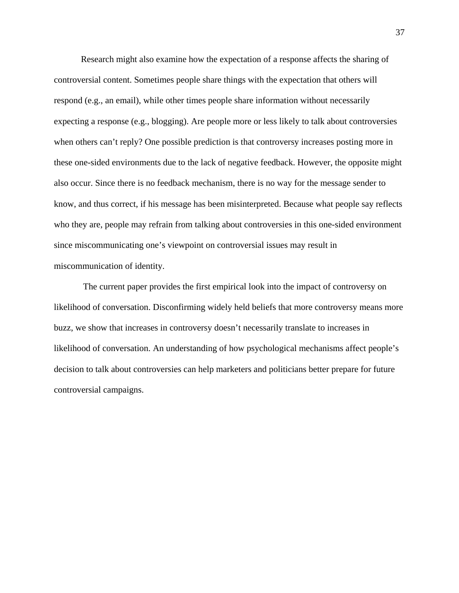Research might also examine how the expectation of a response affects the sharing of controversial content. Sometimes people share things with the expectation that others will respond (e.g., an email), while other times people share information without necessarily expecting a response (e.g., blogging). Are people more or less likely to talk about controversies when others can't reply? One possible prediction is that controversy increases posting more in these one-sided environments due to the lack of negative feedback. However, the opposite might also occur. Since there is no feedback mechanism, there is no way for the message sender to know, and thus correct, if his message has been misinterpreted. Because what people say reflects who they are, people may refrain from talking about controversies in this one-sided environment since miscommunicating one's viewpoint on controversial issues may result in miscommunication of identity.

 The current paper provides the first empirical look into the impact of controversy on likelihood of conversation. Disconfirming widely held beliefs that more controversy means more buzz, we show that increases in controversy doesn't necessarily translate to increases in likelihood of conversation. An understanding of how psychological mechanisms affect people's decision to talk about controversies can help marketers and politicians better prepare for future controversial campaigns.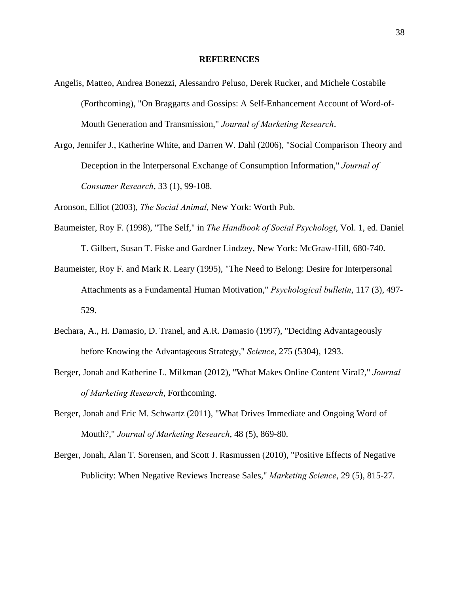#### **REFERENCES**

- Angelis, Matteo, Andrea Bonezzi, Alessandro Peluso, Derek Rucker, and Michele Costabile (Forthcoming), "On Braggarts and Gossips: A Self-Enhancement Account of Word-of-Mouth Generation and Transmission," *Journal of Marketing Research*.
- Argo, Jennifer J., Katherine White, and Darren W. Dahl (2006), "Social Comparison Theory and Deception in the Interpersonal Exchange of Consumption Information," *Journal of Consumer Research*, 33 (1), 99-108.

Aronson, Elliot (2003), *The Social Animal*, New York: Worth Pub.

- Baumeister, Roy F. (1998), "The Self," in *The Handbook of Social Psychologt*, Vol. 1, ed. Daniel T. Gilbert, Susan T. Fiske and Gardner Lindzey, New York: McGraw-Hill, 680-740.
- Baumeister, Roy F. and Mark R. Leary (1995), "The Need to Belong: Desire for Interpersonal Attachments as a Fundamental Human Motivation," *Psychological bulletin*, 117 (3), 497- 529.
- Bechara, A., H. Damasio, D. Tranel, and A.R. Damasio (1997), "Deciding Advantageously before Knowing the Advantageous Strategy," *Science*, 275 (5304), 1293.
- Berger, Jonah and Katherine L. Milkman (2012), "What Makes Online Content Viral?," *Journal of Marketing Research*, Forthcoming.
- Berger, Jonah and Eric M. Schwartz (2011), "What Drives Immediate and Ongoing Word of Mouth?," *Journal of Marketing Research*, 48 (5), 869-80.
- Berger, Jonah, Alan T. Sorensen, and Scott J. Rasmussen (2010), "Positive Effects of Negative Publicity: When Negative Reviews Increase Sales," *Marketing Science*, 29 (5), 815-27.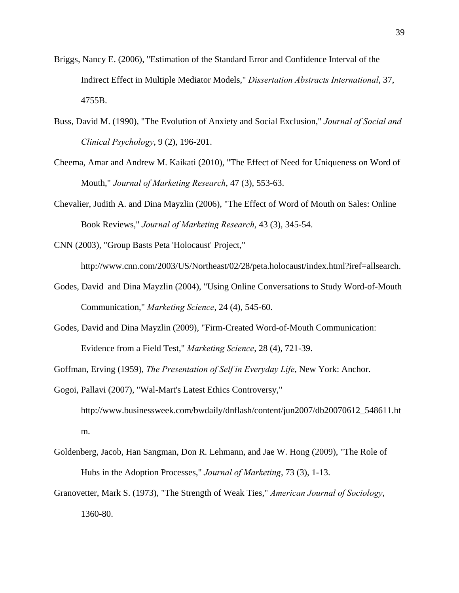- Briggs, Nancy E. (2006), "Estimation of the Standard Error and Confidence Interval of the Indirect Effect in Multiple Mediator Models," *Dissertation Abstracts International*, 37, 4755B.
- Buss, David M. (1990), "The Evolution of Anxiety and Social Exclusion," *Journal of Social and Clinical Psychology*, 9 (2), 196-201.
- Cheema, Amar and Andrew M. Kaikati (2010), "The Effect of Need for Uniqueness on Word of Mouth," *Journal of Marketing Research*, 47 (3), 553-63.
- Chevalier, Judith A. and Dina Mayzlin (2006), "The Effect of Word of Mouth on Sales: Online Book Reviews," *Journal of Marketing Research*, 43 (3), 345-54.
- CNN (2003), "Group Basts Peta 'Holocaust' Project," http://www.cnn.com/2003/US/Northeast/02/28/peta.holocaust/index.html?iref=allsearch.
- Godes, David and Dina Mayzlin (2004), "Using Online Conversations to Study Word-of-Mouth Communication," *Marketing Science*, 24 (4), 545-60.
- Godes, David and Dina Mayzlin (2009), "Firm-Created Word-of-Mouth Communication: Evidence from a Field Test," *Marketing Science*, 28 (4), 721-39.

Goffman, Erving (1959), *The Presentation of Self in Everyday Life*, New York: Anchor.

- Gogoi, Pallavi (2007), "Wal-Mart's Latest Ethics Controversy," http://www.businessweek.com/bwdaily/dnflash/content/jun2007/db20070612\_548611.ht m.
- Goldenberg, Jacob, Han Sangman, Don R. Lehmann, and Jae W. Hong (2009), "The Role of Hubs in the Adoption Processes," *Journal of Marketing*, 73 (3), 1-13.
- Granovetter, Mark S. (1973), "The Strength of Weak Ties," *American Journal of Sociology*, 1360-80.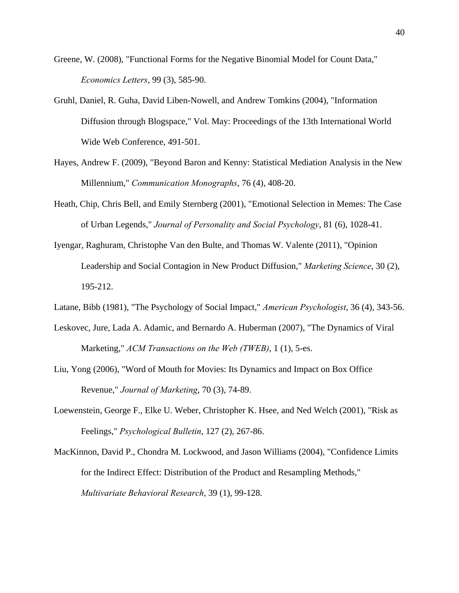- Greene, W. (2008), "Functional Forms for the Negative Binomial Model for Count Data," *Economics Letters*, 99 (3), 585-90.
- Gruhl, Daniel, R. Guha, David Liben-Nowell, and Andrew Tomkins (2004), "Information Diffusion through Blogspace," Vol. May: Proceedings of the 13th International World Wide Web Conference, 491-501.
- Hayes, Andrew F. (2009), "Beyond Baron and Kenny: Statistical Mediation Analysis in the New Millennium," *Communication Monographs*, 76 (4), 408-20.
- Heath, Chip, Chris Bell, and Emily Sternberg (2001), "Emotional Selection in Memes: The Case of Urban Legends," *Journal of Personality and Social Psychology*, 81 (6), 1028-41.
- Iyengar, Raghuram, Christophe Van den Bulte, and Thomas W. Valente (2011), "Opinion Leadership and Social Contagion in New Product Diffusion," *Marketing Science*, 30 (2), 195-212.
- Latane, Bibb (1981), "The Psychology of Social Impact," *American Psychologist*, 36 (4), 343-56.
- Leskovec, Jure, Lada A. Adamic, and Bernardo A. Huberman (2007), "The Dynamics of Viral Marketing," *ACM Transactions on the Web (TWEB)*, 1 (1), 5-es.
- Liu, Yong (2006), "Word of Mouth for Movies: Its Dynamics and Impact on Box Office Revenue," *Journal of Marketing*, 70 (3), 74-89.
- Loewenstein, George F., Elke U. Weber, Christopher K. Hsee, and Ned Welch (2001), "Risk as Feelings," *Psychological Bulletin*, 127 (2), 267-86.
- MacKinnon, David P., Chondra M. Lockwood, and Jason Williams (2004), "Confidence Limits for the Indirect Effect: Distribution of the Product and Resampling Methods," *Multivariate Behavioral Research*, 39 (1), 99-128.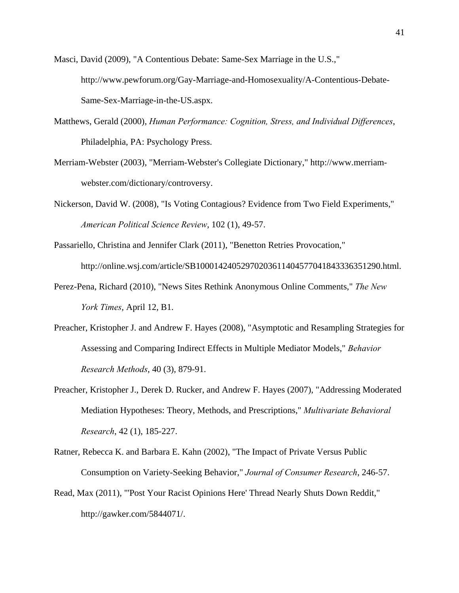Masci, David (2009), "A Contentious Debate: Same-Sex Marriage in the U.S.," http://www.pewforum.org/Gay-Marriage-and-Homosexuality/A-Contentious-Debate-Same-Sex-Marriage-in-the-US.aspx.

- Matthews, Gerald (2000), *Human Performance: Cognition, Stress, and Individual Differences*, Philadelphia, PA: Psychology Press.
- Merriam-Webster (2003), "Merriam-Webster's Collegiate Dictionary," http://www.merriamwebster.com/dictionary/controversy.
- Nickerson, David W. (2008), "Is Voting Contagious? Evidence from Two Field Experiments," *American Political Science Review*, 102 (1), 49-57.
- Passariello, Christina and Jennifer Clark (2011), "Benetton Retries Provocation," http://online.wsj.com/article/SB10001424052970203611404577041843336351290.html.
- Perez-Pena, Richard (2010), "News Sites Rethink Anonymous Online Comments," *The New York Times*, April 12, B1.
- Preacher, Kristopher J. and Andrew F. Hayes (2008), "Asymptotic and Resampling Strategies for Assessing and Comparing Indirect Effects in Multiple Mediator Models," *Behavior Research Methods*, 40 (3), 879-91.
- Preacher, Kristopher J., Derek D. Rucker, and Andrew F. Hayes (2007), "Addressing Moderated Mediation Hypotheses: Theory, Methods, and Prescriptions," *Multivariate Behavioral Research*, 42 (1), 185-227.
- Ratner, Rebecca K. and Barbara E. Kahn (2002), "The Impact of Private Versus Public Consumption on Variety-Seeking Behavior," *Journal of Consumer Research*, 246-57.
- Read, Max (2011), "'Post Your Racist Opinions Here' Thread Nearly Shuts Down Reddit," http://gawker.com/5844071/.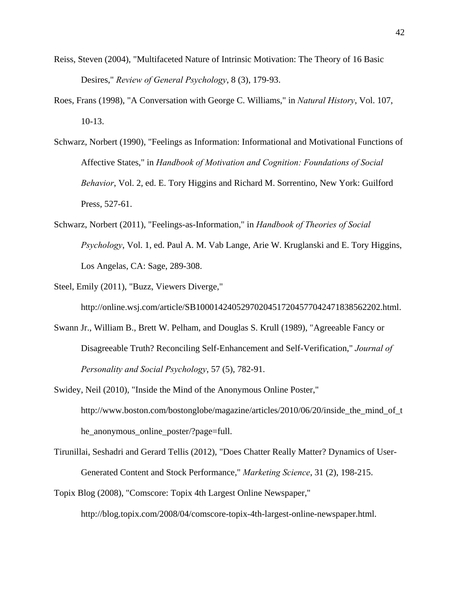- Reiss, Steven (2004), "Multifaceted Nature of Intrinsic Motivation: The Theory of 16 Basic Desires," *Review of General Psychology*, 8 (3), 179-93.
- Roes, Frans (1998), "A Conversation with George C. Williams," in *Natural History*, Vol. 107, 10-13.
- Schwarz, Norbert (1990), "Feelings as Information: Informational and Motivational Functions of Affective States," in *Handbook of Motivation and Cognition: Foundations of Social Behavior*, Vol. 2, ed. E. Tory Higgins and Richard M. Sorrentino, New York: Guilford Press, 527-61.
- Schwarz, Norbert (2011), "Feelings-as-Information," in *Handbook of Theories of Social Psychology*, Vol. 1, ed. Paul A. M. Vab Lange, Arie W. Kruglanski and E. Tory Higgins, Los Angelas, CA: Sage, 289-308.
- Steel, Emily (2011), "Buzz, Viewers Diverge," http://online.wsj.com/article/SB10001424052970204517204577042471838562202.html.
- Swann Jr., William B., Brett W. Pelham, and Douglas S. Krull (1989), "Agreeable Fancy or Disagreeable Truth? Reconciling Self-Enhancement and Self-Verification," *Journal of Personality and Social Psychology*, 57 (5), 782-91.
- Swidey, Neil (2010), "Inside the Mind of the Anonymous Online Poster," http://www.boston.com/bostonglobe/magazine/articles/2010/06/20/inside\_the\_mind\_of\_t he\_anonymous\_online\_poster/?page=full.
- Tirunillai, Seshadri and Gerard Tellis (2012), "Does Chatter Really Matter? Dynamics of User-Generated Content and Stock Performance," *Marketing Science*, 31 (2), 198-215.
- Topix Blog (2008), "Comscore: Topix 4th Largest Online Newspaper,"

http://blog.topix.com/2008/04/comscore-topix-4th-largest-online-newspaper.html.